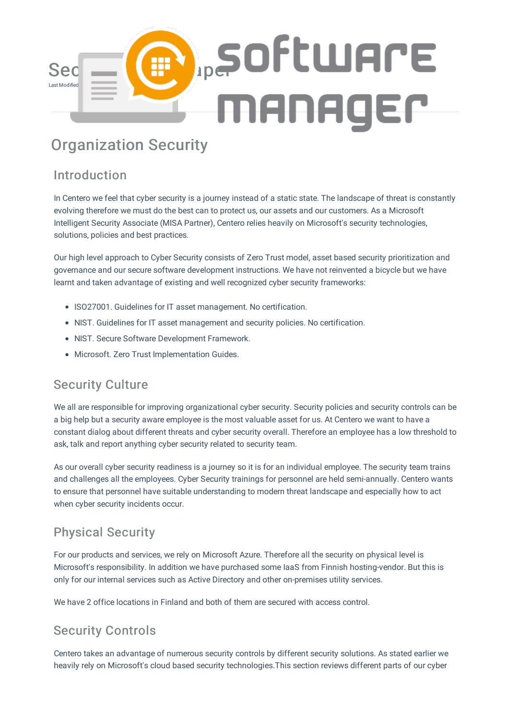

# Organization Security

# Introduction

In Centero we feel that cyber security is a journey instead of a static state. The landscape of threat is constantly evolving therefore we must do the best can to protect us, our assets and our customers. As a Microsoft Intelligent Security Associate (MISA Partner), Centero relies heavily on Microsoft's security technologies, solutions, policies and best practices.

Our high level approach to Cyber Security consists of Zero Trust model, asset based security prioritization and governance and our secure software development instructions. We have not reinvented a bicycle but we have learnt and taken advantage of existing and well recognized cyber security frameworks:

- ISO27001. Guidelines for IT asset management. No certification.
- NIST. Guidelines for IT asset management and security policies. No certification.
- NIST. Secure Software Development Framework.
- Microsoft. Zero Trust Implementation Guides.

# Security Culture

We all are responsible for improving organizational cyber security. Security policies and security controls can be a big help but a security aware employee is the most valuable asset for us. At Centero we want to have a constant dialog about different threats and cyber security overall. Therefore an employee has a low threshold to ask, talk and report anything cyber security related to security team.

As our overall cyber security readiness is a journey so it is for an individual employee. The security team trains and challenges all the employees. Cyber Security trainings for personnel are held semi-annually. Centero wants to ensure that personnel have suitable understanding to modern threat landscape and especially how to act when cyber security incidents occur.

# Physical Security

For our products and services, we rely on Microsoft Azure. Therefore all the security on physical level is Microsoft's responsibility. In addition we have purchased some IaaS from Finnish hosting-vendor. But this is only for our internal services such as Active Directory and other on-premises utility services.

We have 2 office locations in Finland and both of them are secured with access control.

# Security Controls

Centero takes an advantage of numerous security controls by different security solutions. As stated earlier we heavily rely on Microsoft's cloud based security technologies.This section reviews different parts of our cyber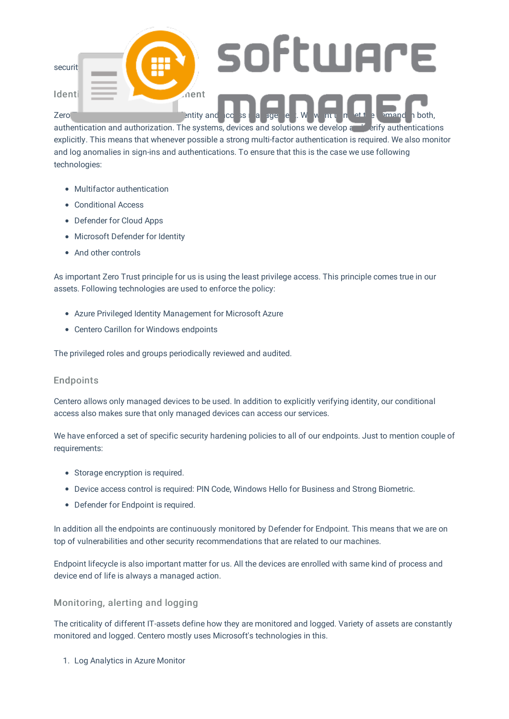

authentication and authorization. The systems, devices and solutions we develop and verify authentications explicitly. This means that whenever possible a strong multi-factor authentication is required. We also monitor and log anomalies in sign-ins and authentications. To ensure that this is the case we use following technologies:

- Multifactor authentication
- Conditional Access
- Defender for Cloud Apps
- Microsoft Defender for Identity
- And other controls

As important Zero Trust principle for us is using the least privilege access. This principle comes true in our assets. Following technologies are used to enforce the policy:

- Azure Privileged Identity Management for Microsoft Azure
- Centero Carillon for Windows endpoints

The privileged roles and groups periodically reviewed and audited.

#### Endpoints

Centero allows only managed devices to be used. In addition to explicitly verifying identity, our conditional access also makes sure that only managed devices can access our services.

We have enforced a set of specific security hardening policies to all of our endpoints. Just to mention couple of requirements:

- Storage encryption is required.
- Device access control is required: PIN Code, Windows Hello for Business and Strong Biometric.
- Defender for Endpoint is required.

In addition all the endpoints are continuously monitored by Defender for Endpoint. This means that we are on top of vulnerabilities and other security recommendations that are related to our machines.

Endpoint lifecycle is also important matter for us. All the devices are enrolled with same kind of process and device end of life is always a managed action.

#### Monitoring, alerting and logging

The criticality of different IT-assets define how they are monitored and logged. Variety of assets are constantly monitored and logged. Centero mostly uses Microsoft's technologies in this.

1. Log Analytics in Azure Monitor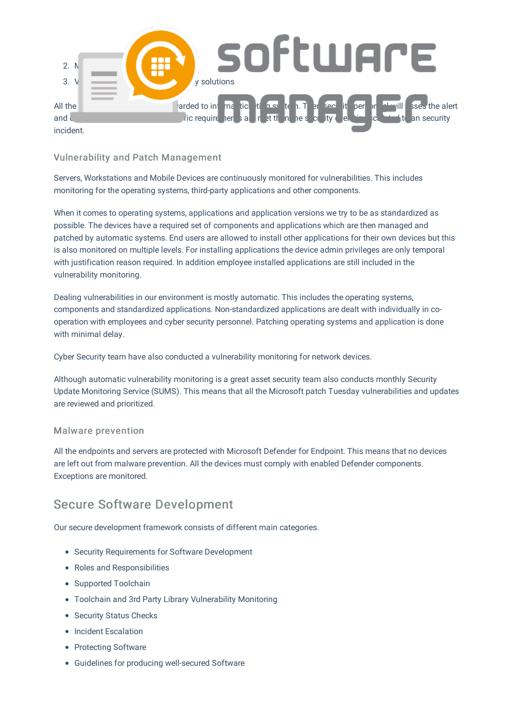

#### Vulnerability and Patch Management

Servers, Workstations and Mobile Devices are continuously monitored for vulnerabilities. This includes monitoring for the operating systems, third-party applications and other components.

When it comes to operating systems, applications and application versions we try to be as standardized as possible. The devices have a required set of components and applications which are then managed and patched by automatic systems. End users are allowed to install other applications for their own devices but this is also monitored on multiple levels. For installing applications the device admin privileges are only temporal with justification reason required. In addition employee installed applications are still included in the vulnerability monitoring.

Dealing vulnerabilities in our environment is mostly automatic. This includes the operating systems, components and standardized applications. Non-standardized applications are dealt with individually in cooperation with employees and cyber security personnel. Patching operating systems and application is done with minimal delay.

Cyber Security team have also conducted a vulnerability monitoring for network devices.

Although automatic vulnerability monitoring is a great asset security team also conducts monthly Security Update Monitoring Service (SUMS). This means that all the Microsoft patch Tuesday vulnerabilities and updates are reviewed and prioritized.

#### Malware prevention

All the endpoints and servers are protected with Microsoft Defender for Endpoint. This means that no devices are left out from malware prevention. All the devices must comply with enabled Defender components. Exceptions are monitored.

### Secure Software Development

Our secure development framework consists of different main categories.

- Security Requirements for Software Development
- Roles and Responsibilities
- Supported Toolchain
- Toolchain and 3rd Party Library Vulnerability Monitoring
- Security Status Checks
- Incident Escalation
- Protecting Software
- Guidelines for producing well-secured Software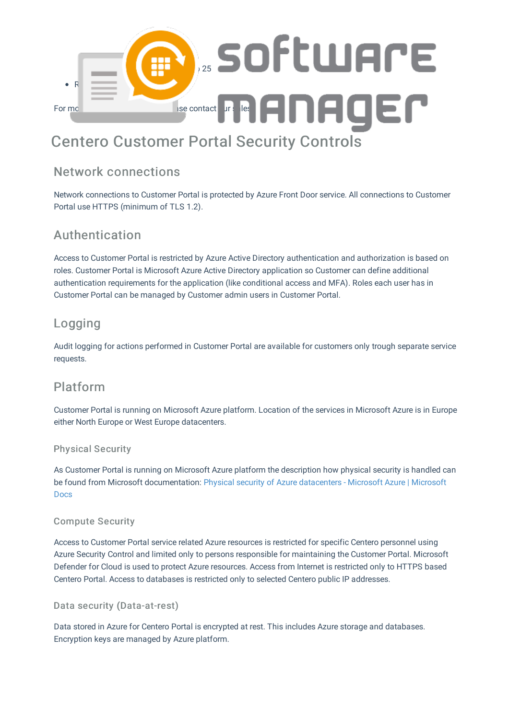

# Centero Customer Portal Security Controls

### Network connections

Network connections to Customer Portal is protected by Azure Front Door service. All connections to Customer Portal use HTTPS (minimum of TLS 1.2).

# Authentication

Access to Customer Portal is restricted by Azure Active Directory authentication and authorization is based on roles. Customer Portal is Microsoft Azure Active Directory application so Customer can define additional authentication requirements for the application (like conditional access and MFA). Roles each user has in Customer Portal can be managed by Customer admin users in Customer Portal.

# Logging

Audit logging for actions performed in Customer Portal are available for customers only trough separate service requests.

### Platform

Customer Portal is running on Microsoft Azure platform. Location of the services in Microsoft Azure is in Europe either North Europe or West Europe datacenters.

#### Physical Security

As Customer Portal is running on Microsoft Azure platform the description how physical security is handled can be found from Microsoft documentation: Physical security of Azure datacenters - Microsoft Azure | Microsoft Docs

#### Compute Security

Access to Customer Portal service related Azure resources is restricted for specific Centero personnel using Azure Security Control and limited only to persons responsible for maintaining the Customer Portal. Microsoft Defender for Cloud is used to protect Azure resources. Access from Internet is restricted only to HTTPS based Centero Portal. Access to databases is restricted only to selected Centero public IP addresses.

#### Data security (Data-at-rest)

Data stored in Azure for Centero Portal is encrypted at rest. This includes Azure storage and databases. Encryption keys are managed by Azure platform.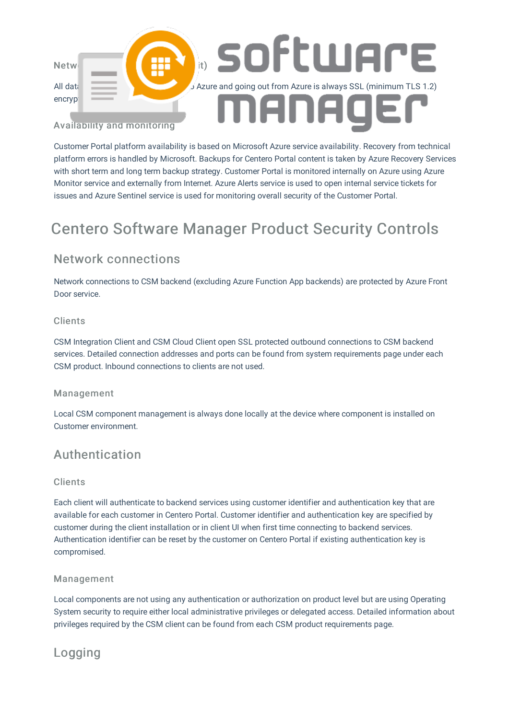

Customer Portal platform availability is based on Microsoft Azure service availability. Recovery from technical platform errors is handled by Microsoft. Backups for Centero Portal content is taken by Azure Recovery Services with short term and long term backup strategy. Customer Portal is monitored internally on Azure using Azure Monitor service and externally from Internet. Azure Alerts service is used to open internal service tickets for issues and Azure Sentinel service is used for monitoring overall security of the Customer Portal.

# Centero Software Manager Product Security Controls

### Network connections

Network connections to CSM backend (excluding Azure Function App backends) are protected by Azure Front Door service.

#### Clients

CSM Integration Client and CSM Cloud Client open SSL protected outbound connections to CSM backend services. Detailed connection addresses and ports can be found from system requirements page under each CSM product. Inbound connections to clients are not used.

#### Management

Local CSM component management is always done locally at the device where component is installed on Customer environment.

### Authentication

#### Clients

Each client will authenticate to backend services using customer identifier and authentication key that are available for each customer in Centero Portal. Customer identifier and authentication key are specified by customer during the client installation or in client UI when first time connecting to backend services. Authentication identifier can be reset by the customer on Centero Portal if existing authentication key is compromised.

#### Management

Local components are not using any authentication or authorization on product level but are using Operating System security to require either local administrative privileges or delegated access. Detailed information about privileges required by the CSM client can be found from each CSM product requirements page.

# Logging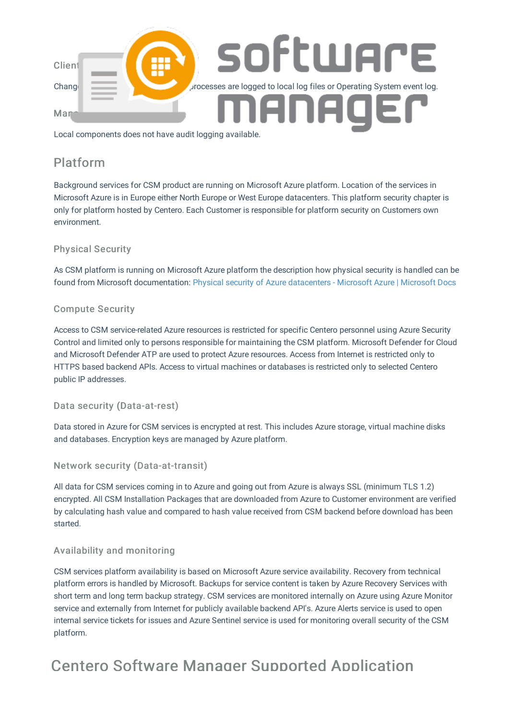

### Platform

Background services for CSM product are running on Microsoft Azure platform. Location of the services in Microsoft Azure is in Europe either North Europe or West Europe datacenters. This platform security chapter is only for platform hosted by Centero. Each Customer is responsible for platform security on Customers own environment.

#### Physical Security

As CSM platform is running on Microsoft Azure platform the description how physical security is handled can be found from Microsoft documentation: Physical security of Azure datacenters - Microsoft Azure | Microsoft Docs

#### Compute Security

Access to CSM service-related Azure resources is restricted for specific Centero personnel using Azure Security Control and limited only to persons responsible for maintaining the CSM platform. Microsoft Defender for Cloud and Microsoft Defender ATP are used to protect Azure resources. Access from Internet is restricted only to HTTPS based backend APIs. Access to virtual machines or databases is restricted only to selected Centero public IP addresses.

Data security (Data-at-rest)

Data stored in Azure for CSM services is encrypted at rest. This includes Azure storage, virtual machine disks and databases. Encryption keys are managed by Azure platform.

#### Network security (Data-at-transit)

All data for CSM services coming in to Azure and going out from Azure is always SSL (minimum TLS 1.2) encrypted. All CSM Installation Packages that are downloaded from Azure to Customer environment are verified by calculating hash value and compared to hash value received from CSM backend before download has been started.

#### Availability and monitoring

CSM services platform availability is based on Microsoft Azure service availability. Recovery from technical platform errors is handled by Microsoft. Backups for service content is taken by Azure Recovery Services with short term and long term backup strategy. CSM services are monitored internally on Azure using Azure Monitor service and externally from Internet for publicly available backend API's. Azure Alerts service is used to open internal service tickets for issues and Azure Sentinel service is used for monitoring overall security of the CSM platform.

# Centero Software Manager Supported Application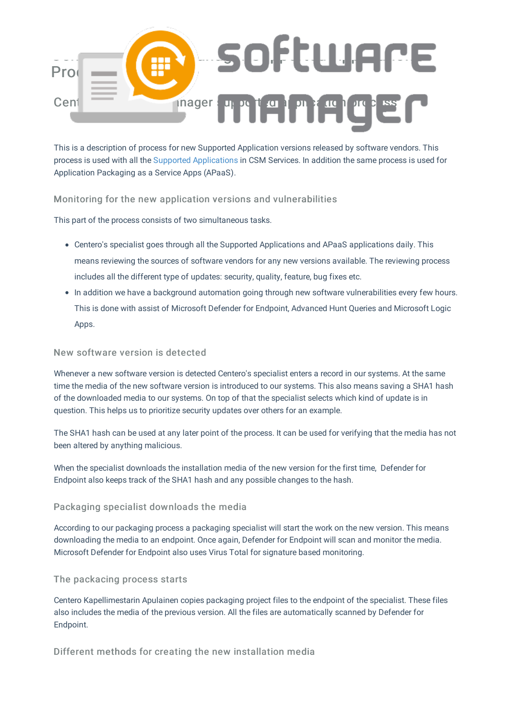

This is a description of process for new Supported Application versions released by software vendors. This process is used with all the Supported Applications in CSM Services. In addition the same process is used for Application Packaging as a Service Apps (APaaS).

#### Monitoring for the new application versions and vulnerabilities

This part of the process consists of two simultaneous tasks.

- Centero's specialist goes through all the Supported Applications and APaaS applications daily. This means reviewing the sources of software vendors for any new versions available. The reviewing process includes all the different type of updates: security, quality, feature, bug fixes etc.
- In addition we have a background automation going through new software vulnerabilities every few hours. This is done with assist of Microsoft Defender for Endpoint, Advanced Hunt Queries and Microsoft Logic Apps.

#### New software version is detected

Whenever a new software version is detected Centero's specialist enters a record in our systems. At the same time the media of the new software version is introduced to our systems. This also means saving a SHA1 hash of the downloaded media to our systems. On top of that the specialist selects which kind of update is in question. This helps us to prioritize security updates over others for an example.

The SHA1 hash can be used at any later point of the process. It can be used for verifying that the media has not been altered by anything malicious.

When the specialist downloads the installation media of the new version for the first time, Defender for Endpoint also keeps track of the SHA1 hash and any possible changes to the hash.

#### Packaging specialist downloads the media

According to our packaging process a packaging specialist will start the work on the new version. This means downloading the media to an endpoint. Once again, Defender for Endpoint will scan and monitor the media. Microsoft Defender for Endpoint also uses Virus Total for signature based monitoring.

#### The packacing process starts

Centero Kapellimestarin Apulainen copies packaging project files to the endpoint of the specialist. These files also includes the media of the previous version. All the files are automatically scanned by Defender for Endpoint.

Different methods for creating the new installation media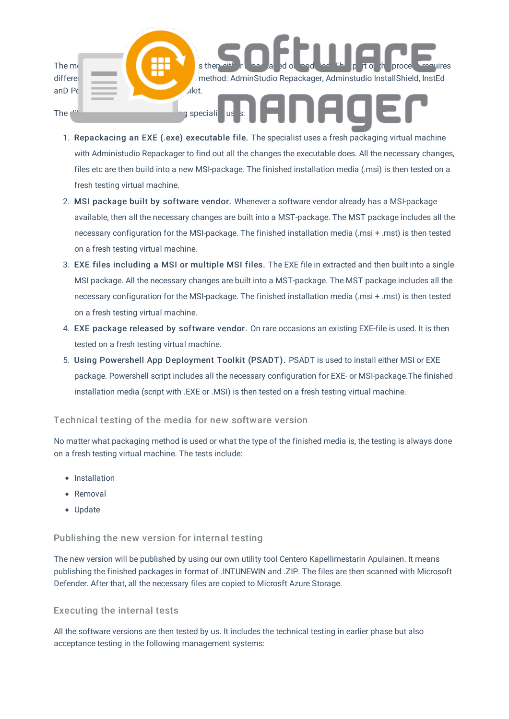

- 1. Repackacing an EXE (.exe) executable file. The specialist uses a fresh packaging virtual machine with Administudio Repackager to find out all the changes the executable does. All the necessary changes, files etc are then build into a new MSI-package. The finished installation media (.msi) is then tested on a fresh testing virtual machine.
- 2. MSI package built by software vendor. Whenever a software vendor already has a MSI-package available, then all the necessary changes are built into a MST-package. The MST package includes all the necessary configuration for the MSI-package. The finished installation media (.msi + .mst) is then tested on a fresh testing virtual machine.
- 3. EXE files including a MSI or multiple MSI files. The EXE file in extracted and then built into a single MSI package. All the necessary changes are built into a MST-package. The MST package includes all the necessary configuration for the MSI-package. The finished installation media (.msi + .mst) is then tested on a fresh testing virtual machine.
- 4. EXE package released by software vendor. On rare occasions an existing EXE-file is used. It is then tested on a fresh testing virtual machine.
- 5. Using Powershell App Deployment Toolkit (PSADT). PSADT is used to install either MSI or EXE package. Powershell script includes all the necessary configuration for EXE- or MSI-package.The finished installation media (script with .EXE or .MSI) is then tested on a fresh testing virtual machine.

#### Technical testing of the media for new software version

No matter what packaging method is used or what the type of the finished media is, the testing is always done on a fresh testing virtual machine. The tests include:

- Installation
- Removal
- Update

#### Publishing the new version for internal testing

The new version will be published by using our own utility tool Centero Kapellimestarin Apulainen. It means publishing the finished packages in format of .INTUNEWIN and .ZIP. The files are then scanned with Microsoft Defender. After that, all the necessary files are copied to Microsft Azure Storage.

#### Executing the internal tests

All the software versions are then tested by us. It includes the technical testing in earlier phase but also acceptance testing in the following management systems: